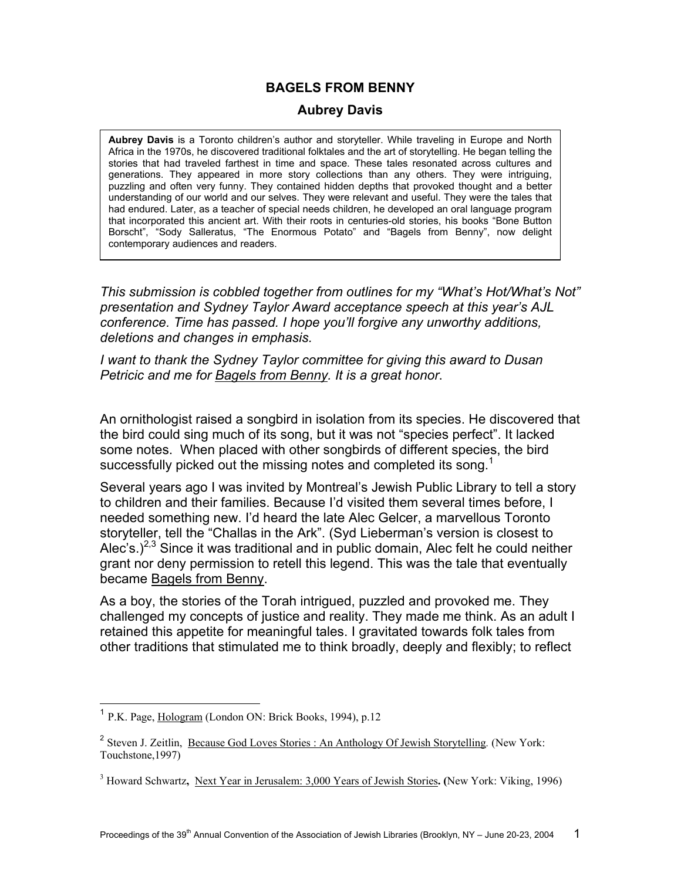## **BAGELS FROM BENNY**

## **Aubrey Davis**

**Aubrey Davis** is a Toronto children's author and storyteller. While traveling in Europe and North Africa in the 1970s, he discovered traditional folktales and the art of storytelling. He began telling the stories that had traveled farthest in time and space. These tales resonated across cultures and generations. They appeared in more story collections than any others. They were intriguing, puzzling and often very funny. They contained hidden depths that provoked thought and a better understanding of our world and our selves. They were relevant and useful. They were the tales that had endured. Later, as a teacher of special needs children, he developed an oral language program that incorporated this ancient art. With their roots in centuries-old stories, his books "Bone Button Borscht", "Sody Salleratus, "The Enormous Potato" and "Bagels from Benny", now delight contemporary audiences and readers.

*This submission is cobbled together from outlines for my "What's Hot/What's Not" presentation and Sydney Taylor Award acceptance speech at this year's AJL conference. Time has passed. I hope you'll forgive any unworthy additions, deletions and changes in emphasis.* 

*I want to thank the Sydney Taylor committee for giving this award to Dusan Petricic and me for Bagels from Benny. It is a great honor*.

An ornithologist raised a songbird in isolation from its species. He discovered that the bird could sing much of its song, but it was not "species perfect". It lacked some notes. When placed with other songbirds of different species, the bird successfully picked out the missing notes and completed its song.<sup>1</sup>

Several years ago I was invited by Montreal's Jewish Public Library to tell a story to children and their families. Because I'd visited them several times before, I needed something new. I'd heard the late Alec Gelcer, a marvellous Toronto storyteller, tell the "Challas in the Ark". (Syd Lieberman's version is closest to Alec's.)<sup>2,3</sup> Since it was traditional and in public domain, Alec felt he could neither grant nor deny permission to retell this legend. This was the tale that eventually became Bagels from Benny.

As a boy, the stories of the Torah intrigued, puzzled and provoked me. They challenged my concepts of justice and reality. They made me think. As an adult I retained this appetite for meaningful tales. I gravitated towards folk tales from other traditions that stimulated me to think broadly, deeply and flexibly; to reflect

 $\overline{a}$ 

<sup>1</sup> P.K. Page, Hologram (London ON: Brick Books, 1994), p.12

<sup>2</sup> Steven J. Zeitlin, Because God Loves Stories : An Anthology Of Jewish Storytelling*.* (New York: Touchstone,1997)

<sup>3</sup> Howard Schwartz**,** Next Year in Jerusalem: 3,000 Years of Jewish Stories**. (**New York: Viking, 1996)